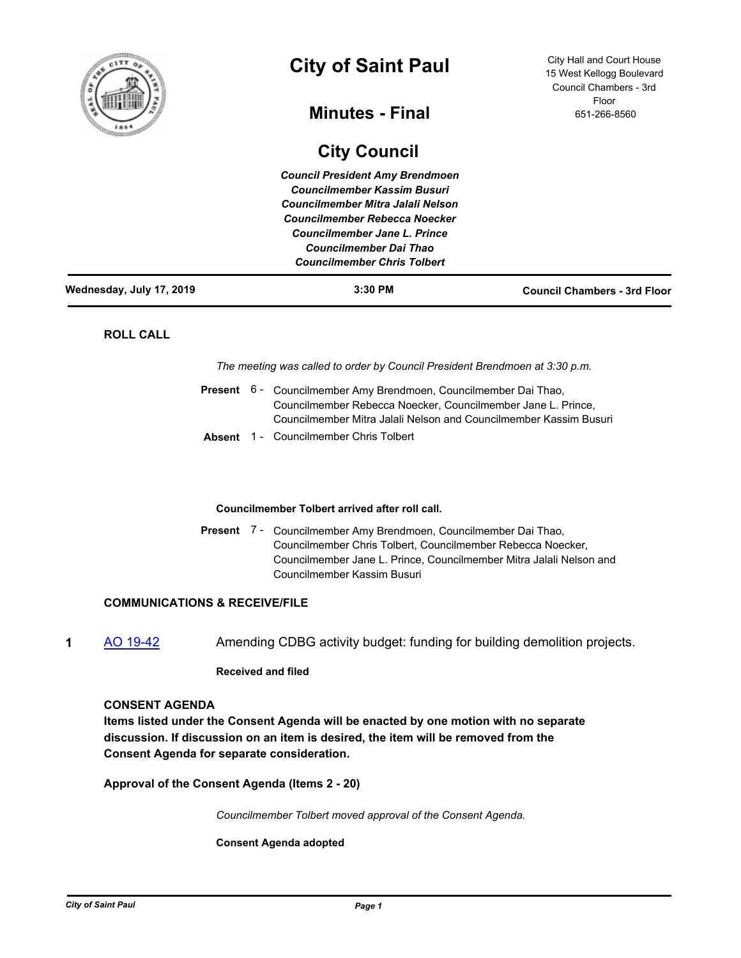

# **City of Saint Paul**

# **Minutes - Final**

# **City Council**

City Hall and Court House 15 West Kellogg Boulevard Council Chambers - 3rd Floor 651-266-8560

| Wednesday, July 17, 2019 | $3:30$ PM                              | <b>Council Chambers - 3rd Floor</b> |
|--------------------------|----------------------------------------|-------------------------------------|
|                          | <b>Councilmember Chris Tolbert</b>     |                                     |
|                          | Councilmember Dai Thao                 |                                     |
|                          | Councilmember Jane L. Prince           |                                     |
|                          | Councilmember Rebecca Noecker          |                                     |
|                          | Councilmember Mitra Jalali Nelson      |                                     |
|                          | <b>Councilmember Kassim Busuri</b>     |                                     |
|                          | <b>Council President Amy Brendmoen</b> |                                     |
|                          |                                        |                                     |

# **ROLL CALL**

*The meeting was called to order by Council President Brendmoen at 3:30 p.m.*

|  | Present 6 - Councilmember Amy Brendmoen, Councilmember Dai Thao,  |  |
|--|-------------------------------------------------------------------|--|
|  | Councilmember Rebecca Noecker, Councilmember Jane L. Prince,      |  |
|  | Councilmember Mitra Jalali Nelson and Councilmember Kassim Busuri |  |
|  | <b>Absent</b> 1 - Councilmember Chris Tolbert                     |  |

# **Councilmember Tolbert arrived after roll call.**

Present 7 - Councilmember Amy Brendmoen, Councilmember Dai Thao, Councilmember Chris Tolbert, Councilmember Rebecca Noecker, Councilmember Jane L. Prince, Councilmember Mitra Jalali Nelson and Councilmember Kassim Busuri

# **COMMUNICATIONS & RECEIVE/FILE**

**1** [AO 19-42](http://stpaul.legistar.com/gateway.aspx?m=l&id=/matter.aspx?key=32007) Amending CDBG activity budget: funding for building demolition projects.

# **Received and filed**

#### **CONSENT AGENDA**

**Items listed under the Consent Agenda will be enacted by one motion with no separate discussion. If discussion on an item is desired, the item will be removed from the Consent Agenda for separate consideration.**

**Approval of the Consent Agenda (Items 2 - 20)**

*Councilmember Tolbert moved approval of the Consent Agenda.*

**Consent Agenda adopted**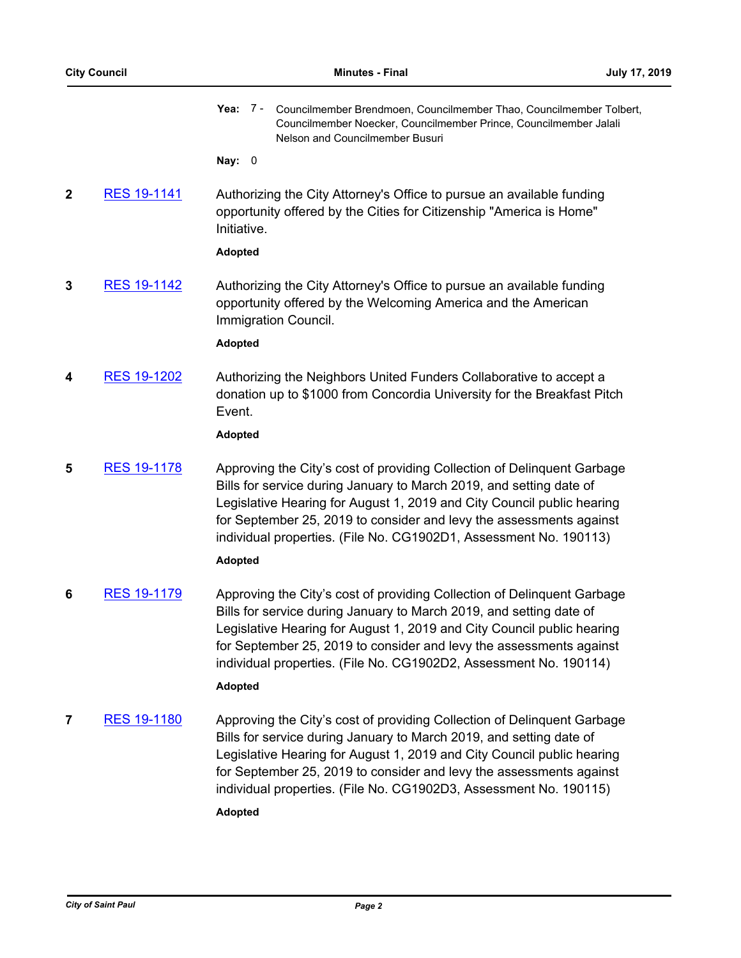**Yea:** Councilmember Brendmoen, Councilmember Thao, Councilmember Tolbert, Councilmember Noecker, Councilmember Prince, Councilmember Jalali Nelson and Councilmember Busuri Yea: 7 -

**Nay:** 0

**2** [RES 19-1141](http://stpaul.legistar.com/gateway.aspx?m=l&id=/matter.aspx?key=31995) Authorizing the City Attorney's Office to pursue an available funding opportunity offered by the Cities for Citizenship "America is Home" Initiative.

#### **Adopted**

**3** [RES 19-1142](http://stpaul.legistar.com/gateway.aspx?m=l&id=/matter.aspx?key=31996) Authorizing the City Attorney's Office to pursue an available funding opportunity offered by the Welcoming America and the American Immigration Council.

**Adopted**

**4** [RES 19-1202](http://stpaul.legistar.com/gateway.aspx?m=l&id=/matter.aspx?key=32079) Authorizing the Neighbors United Funders Collaborative to accept a donation up to \$1000 from Concordia University for the Breakfast Pitch Event.

**Adopted**

**5** [RES 19-1178](http://stpaul.legistar.com/gateway.aspx?m=l&id=/matter.aspx?key=32042) Approving the City's cost of providing Collection of Delinquent Garbage Bills for service during January to March 2019, and setting date of Legislative Hearing for August 1, 2019 and City Council public hearing for September 25, 2019 to consider and levy the assessments against individual properties. (File No. CG1902D1, Assessment No. 190113)

# **Adopted**

**6** [RES 19-1179](http://stpaul.legistar.com/gateway.aspx?m=l&id=/matter.aspx?key=32043) Approving the City's cost of providing Collection of Delinquent Garbage Bills for service during January to March 2019, and setting date of Legislative Hearing for August 1, 2019 and City Council public hearing for September 25, 2019 to consider and levy the assessments against individual properties. (File No. CG1902D2, Assessment No. 190114)

# **Adopted**

**7** [RES 19-1180](http://stpaul.legistar.com/gateway.aspx?m=l&id=/matter.aspx?key=32044) Approving the City's cost of providing Collection of Delinquent Garbage Bills for service during January to March 2019, and setting date of Legislative Hearing for August 1, 2019 and City Council public hearing for September 25, 2019 to consider and levy the assessments against individual properties. (File No. CG1902D3, Assessment No. 190115) **Adopted**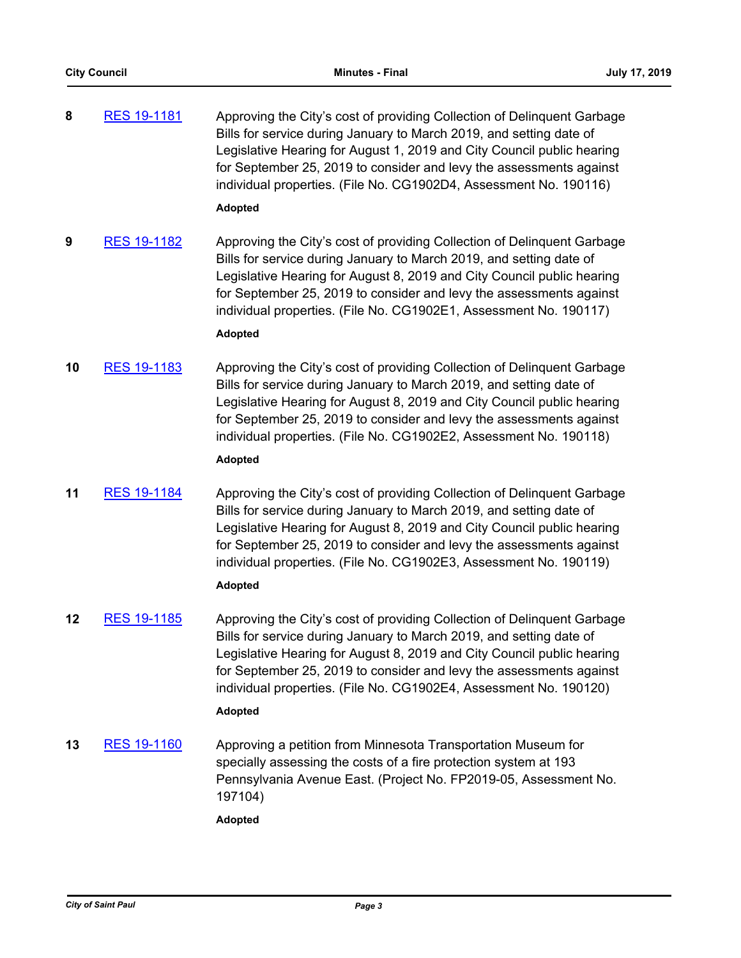- **8** [RES 19-1181](http://stpaul.legistar.com/gateway.aspx?m=l&id=/matter.aspx?key=32045) Approving the City's cost of providing Collection of Delinquent Garbage Bills for service during January to March 2019, and setting date of Legislative Hearing for August 1, 2019 and City Council public hearing for September 25, 2019 to consider and levy the assessments against individual properties. (File No. CG1902D4, Assessment No. 190116) **Adopted**
- **9** [RES 19-1182](http://stpaul.legistar.com/gateway.aspx?m=l&id=/matter.aspx?key=32046) Approving the City's cost of providing Collection of Delinquent Garbage Bills for service during January to March 2019, and setting date of Legislative Hearing for August 8, 2019 and City Council public hearing for September 25, 2019 to consider and levy the assessments against individual properties. (File No. CG1902E1, Assessment No. 190117)

# **Adopted**

**10** [RES 19-1183](http://stpaul.legistar.com/gateway.aspx?m=l&id=/matter.aspx?key=32047) Approving the City's cost of providing Collection of Delinquent Garbage Bills for service during January to March 2019, and setting date of Legislative Hearing for August 8, 2019 and City Council public hearing for September 25, 2019 to consider and levy the assessments against individual properties. (File No. CG1902E2, Assessment No. 190118)

# **Adopted**

**11** [RES 19-1184](http://stpaul.legistar.com/gateway.aspx?m=l&id=/matter.aspx?key=32048) Approving the City's cost of providing Collection of Delinquent Garbage Bills for service during January to March 2019, and setting date of Legislative Hearing for August 8, 2019 and City Council public hearing for September 25, 2019 to consider and levy the assessments against individual properties. (File No. CG1902E3, Assessment No. 190119)

# **Adopted**

**12** [RES 19-1185](http://stpaul.legistar.com/gateway.aspx?m=l&id=/matter.aspx?key=32049) Approving the City's cost of providing Collection of Delinquent Garbage Bills for service during January to March 2019, and setting date of Legislative Hearing for August 8, 2019 and City Council public hearing for September 25, 2019 to consider and levy the assessments against individual properties. (File No. CG1902E4, Assessment No. 190120)

# **Adopted**

**13** [RES 19-1160](http://stpaul.legistar.com/gateway.aspx?m=l&id=/matter.aspx?key=32018) Approving a petition from Minnesota Transportation Museum for specially assessing the costs of a fire protection system at 193 Pennsylvania Avenue East. (Project No. FP2019-05, Assessment No. 197104)

**Adopted**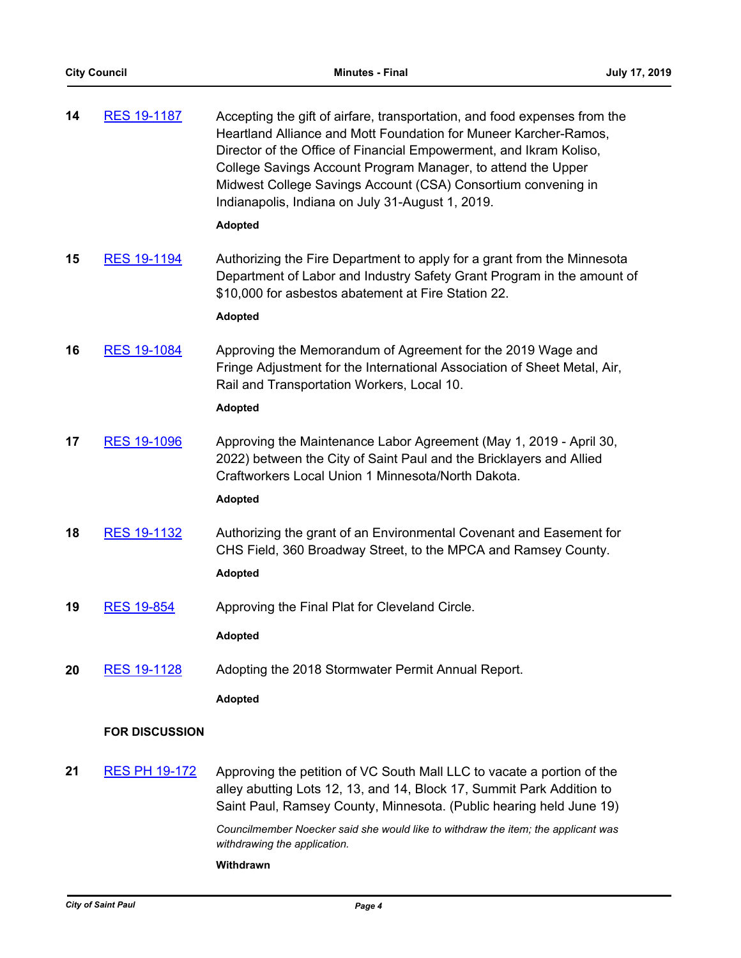| 14 | <b>RES 19-1187</b>    | Accepting the gift of airfare, transportation, and food expenses from the<br>Heartland Alliance and Mott Foundation for Muneer Karcher-Ramos,<br>Director of the Office of Financial Empowerment, and Ikram Koliso,<br>College Savings Account Program Manager, to attend the Upper<br>Midwest College Savings Account (CSA) Consortium convening in<br>Indianapolis, Indiana on July 31-August 1, 2019. |
|----|-----------------------|----------------------------------------------------------------------------------------------------------------------------------------------------------------------------------------------------------------------------------------------------------------------------------------------------------------------------------------------------------------------------------------------------------|
|    |                       | <b>Adopted</b>                                                                                                                                                                                                                                                                                                                                                                                           |
| 15 | <b>RES 19-1194</b>    | Authorizing the Fire Department to apply for a grant from the Minnesota<br>Department of Labor and Industry Safety Grant Program in the amount of<br>\$10,000 for asbestos abatement at Fire Station 22.                                                                                                                                                                                                 |
|    |                       | <b>Adopted</b>                                                                                                                                                                                                                                                                                                                                                                                           |
| 16 | <b>RES 19-1084</b>    | Approving the Memorandum of Agreement for the 2019 Wage and<br>Fringe Adjustment for the International Association of Sheet Metal, Air,<br>Rail and Transportation Workers, Local 10.                                                                                                                                                                                                                    |
|    |                       | <b>Adopted</b>                                                                                                                                                                                                                                                                                                                                                                                           |
| 17 | <b>RES 19-1096</b>    | Approving the Maintenance Labor Agreement (May 1, 2019 - April 30,<br>2022) between the City of Saint Paul and the Bricklayers and Allied<br>Craftworkers Local Union 1 Minnesota/North Dakota.                                                                                                                                                                                                          |
|    |                       | <b>Adopted</b>                                                                                                                                                                                                                                                                                                                                                                                           |
| 18 | <b>RES 19-1132</b>    | Authorizing the grant of an Environmental Covenant and Easement for<br>CHS Field, 360 Broadway Street, to the MPCA and Ramsey County.                                                                                                                                                                                                                                                                    |
|    |                       | <b>Adopted</b>                                                                                                                                                                                                                                                                                                                                                                                           |
| 19 | <b>RES 19-854</b>     | Approving the Final Plat for Cleveland Circle.                                                                                                                                                                                                                                                                                                                                                           |
|    |                       | <b>Adopted</b>                                                                                                                                                                                                                                                                                                                                                                                           |
| 20 | <b>RES 19-1128</b>    | Adopting the 2018 Stormwater Permit Annual Report.                                                                                                                                                                                                                                                                                                                                                       |
|    |                       | <b>Adopted</b>                                                                                                                                                                                                                                                                                                                                                                                           |
|    | <b>FOR DISCUSSION</b> |                                                                                                                                                                                                                                                                                                                                                                                                          |
|    |                       |                                                                                                                                                                                                                                                                                                                                                                                                          |
| 21 | <b>RES PH 19-172</b>  | Approving the petition of VC South Mall LLC to vacate a portion of the<br>alley abutting Lots 12, 13, and 14, Block 17, Summit Park Addition to<br>Saint Paul, Ramsey County, Minnesota. (Public hearing held June 19)                                                                                                                                                                                   |

*Councilmember Noecker said she would like to withdraw the item; the applicant was withdrawing the application.*

# **Withdrawn**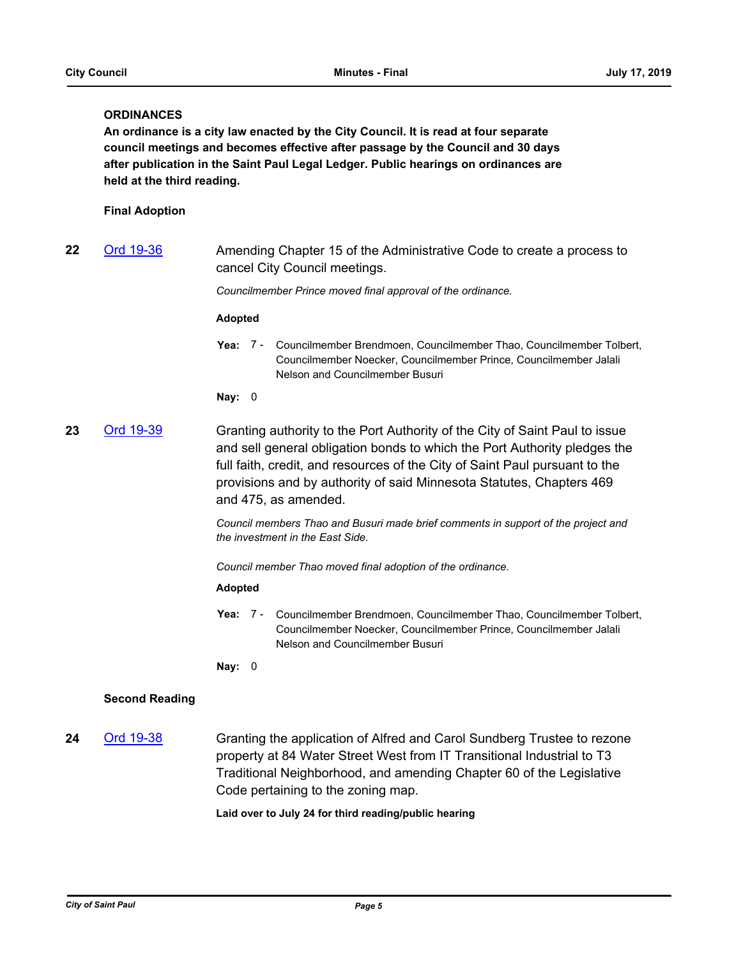# **ORDINANCES**

**An ordinance is a city law enacted by the City Council. It is read at four separate council meetings and becomes effective after passage by the Council and 30 days after publication in the Saint Paul Legal Ledger. Public hearings on ordinances are held at the third reading.**

# **Final Adoption**

22 [Ord 19-36](http://stpaul.legistar.com/gateway.aspx?m=l&id=/matter.aspx?key=31688) Amending Chapter 15 of the Administrative Code to create a process to cancel City Council meetings.

*Councilmember Prince moved final approval of the ordinance.*

#### **Adopted**

**Yea:** Councilmember Brendmoen, Councilmember Thao, Councilmember Tolbert, Councilmember Noecker, Councilmember Prince, Councilmember Jalali Nelson and Councilmember Busuri Yea: 7 -

**Nay:** 0

**23** [Ord 19-39](http://stpaul.legistar.com/gateway.aspx?m=l&id=/matter.aspx?key=31793) Granting authority to the Port Authority of the City of Saint Paul to issue and sell general obligation bonds to which the Port Authority pledges the full faith, credit, and resources of the City of Saint Paul pursuant to the provisions and by authority of said Minnesota Statutes, Chapters 469 and 475, as amended.

> *Council members Thao and Busuri made brief comments in support of the project and the investment in the East Side.*

*Council member Thao moved final adoption of the ordinance.*

#### **Adopted**

**Yea:** Councilmember Brendmoen, Councilmember Thao, Councilmember Tolbert, Councilmember Noecker, Councilmember Prince, Councilmember Jalali Nelson and Councilmember Busuri Yea: 7 -

**Nay:** 0

# **Second Reading**

**24** [Ord 19-38](http://stpaul.legistar.com/gateway.aspx?m=l&id=/matter.aspx?key=31785) Granting the application of Alfred and Carol Sundberg Trustee to rezone property at 84 Water Street West from IT Transitional Industrial to T3 Traditional Neighborhood, and amending Chapter 60 of the Legislative Code pertaining to the zoning map.

**Laid over to July 24 for third reading/public hearing**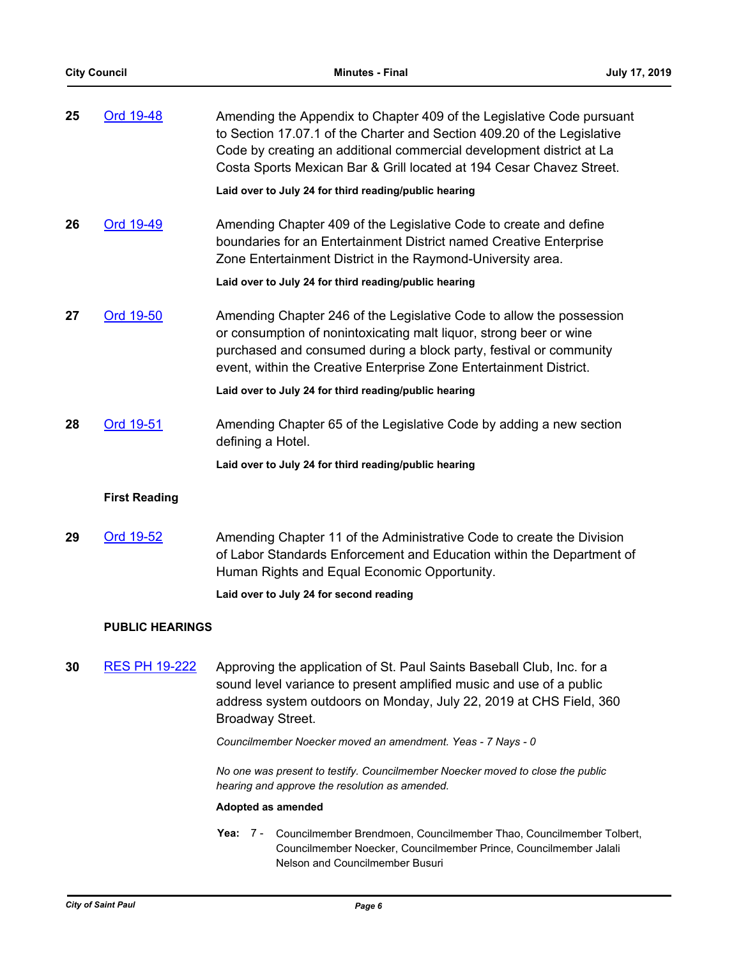| 25 | Ord 19-48            | Amending the Appendix to Chapter 409 of the Legislative Code pursuant<br>to Section 17.07.1 of the Charter and Section 409.20 of the Legislative<br>Code by creating an additional commercial development district at La<br>Costa Sports Mexican Bar & Grill located at 194 Cesar Chavez Street. |
|----|----------------------|--------------------------------------------------------------------------------------------------------------------------------------------------------------------------------------------------------------------------------------------------------------------------------------------------|
|    |                      | Laid over to July 24 for third reading/public hearing                                                                                                                                                                                                                                            |
| 26 | Ord 19-49            | Amending Chapter 409 of the Legislative Code to create and define<br>boundaries for an Entertainment District named Creative Enterprise<br>Zone Entertainment District in the Raymond-University area.                                                                                           |
|    |                      | Laid over to July 24 for third reading/public hearing                                                                                                                                                                                                                                            |
| 27 | Ord 19-50            | Amending Chapter 246 of the Legislative Code to allow the possession<br>or consumption of nonintoxicating malt liquor, strong beer or wine<br>purchased and consumed during a block party, festival or community<br>event, within the Creative Enterprise Zone Entertainment District.           |
|    |                      | Laid over to July 24 for third reading/public hearing                                                                                                                                                                                                                                            |
| 28 | Ord 19-51            | Amending Chapter 65 of the Legislative Code by adding a new section<br>defining a Hotel.                                                                                                                                                                                                         |
|    |                      | Laid over to July 24 for third reading/public hearing                                                                                                                                                                                                                                            |
|    | <b>First Reading</b> |                                                                                                                                                                                                                                                                                                  |

**29** [Ord 19-52](http://stpaul.legistar.com/gateway.aspx?m=l&id=/matter.aspx?key=32081) Amending Chapter 11 of the Administrative Code to create the Division of Labor Standards Enforcement and Education within the Department of Human Rights and Equal Economic Opportunity.

**Laid over to July 24 for second reading**

# **PUBLIC HEARINGS**

**30** [RES PH 19-222](http://stpaul.legistar.com/gateway.aspx?m=l&id=/matter.aspx?key=31994) Approving the application of St. Paul Saints Baseball Club, Inc. for a sound level variance to present amplified music and use of a public address system outdoors on Monday, July 22, 2019 at CHS Field, 360 Broadway Street.

*Councilmember Noecker moved an amendment. Yeas - 7 Nays - 0*

*No one was present to testify. Councilmember Noecker moved to close the public hearing and approve the resolution as amended.*

#### **Adopted as amended**

Yea: 7 - Councilmember Brendmoen, Councilmember Thao, Councilmember Tolbert, Councilmember Noecker, Councilmember Prince, Councilmember Jalali Nelson and Councilmember Busuri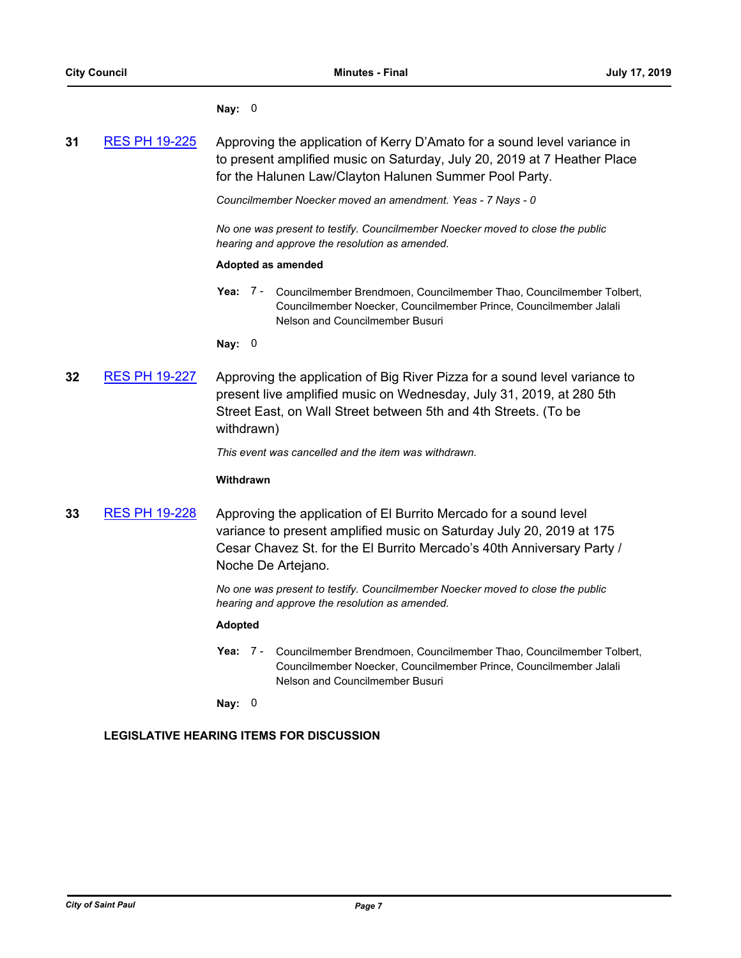#### **Nay:** 0

| 31 | <b>RES PH 19-225</b> | Approving the application of Kerry D'Amato for a sound level variance in |
|----|----------------------|--------------------------------------------------------------------------|
|    |                      | to present amplified music on Saturday, July 20, 2019 at 7 Heather Place |
|    |                      | for the Halunen Law/Clayton Halunen Summer Pool Party.                   |

*Councilmember Noecker moved an amendment. Yeas - 7 Nays - 0*

*No one was present to testify. Councilmember Noecker moved to close the public hearing and approve the resolution as amended.*

#### **Adopted as amended**

Yea: 7 - Councilmember Brendmoen, Councilmember Thao, Councilmember Tolbert, Councilmember Noecker, Councilmember Prince, Councilmember Jalali Nelson and Councilmember Busuri

**Nay:** 0

**32** [RES PH 19-227](http://stpaul.legistar.com/gateway.aspx?m=l&id=/matter.aspx?key=32017) Approving the application of Big River Pizza for a sound level variance to present live amplified music on Wednesday, July 31, 2019, at 280 5th Street East, on Wall Street between 5th and 4th Streets. (To be withdrawn)

*This event was cancelled and the item was withdrawn.*

#### **Withdrawn**

**33** [RES PH 19-228](http://stpaul.legistar.com/gateway.aspx?m=l&id=/matter.aspx?key=32019) Approving the application of El Burrito Mercado for a sound level variance to present amplified music on Saturday July 20, 2019 at 175 Cesar Chavez St. for the El Burrito Mercado's 40th Anniversary Party / Noche De Artejano.

> *No one was present to testify. Councilmember Noecker moved to close the public hearing and approve the resolution as amended.*

# **Adopted**

Yea: 7 - Councilmember Brendmoen, Councilmember Thao, Councilmember Tolbert, Councilmember Noecker, Councilmember Prince, Councilmember Jalali Nelson and Councilmember Busuri

**Nay:** 0

# **LEGISLATIVE HEARING ITEMS FOR DISCUSSION**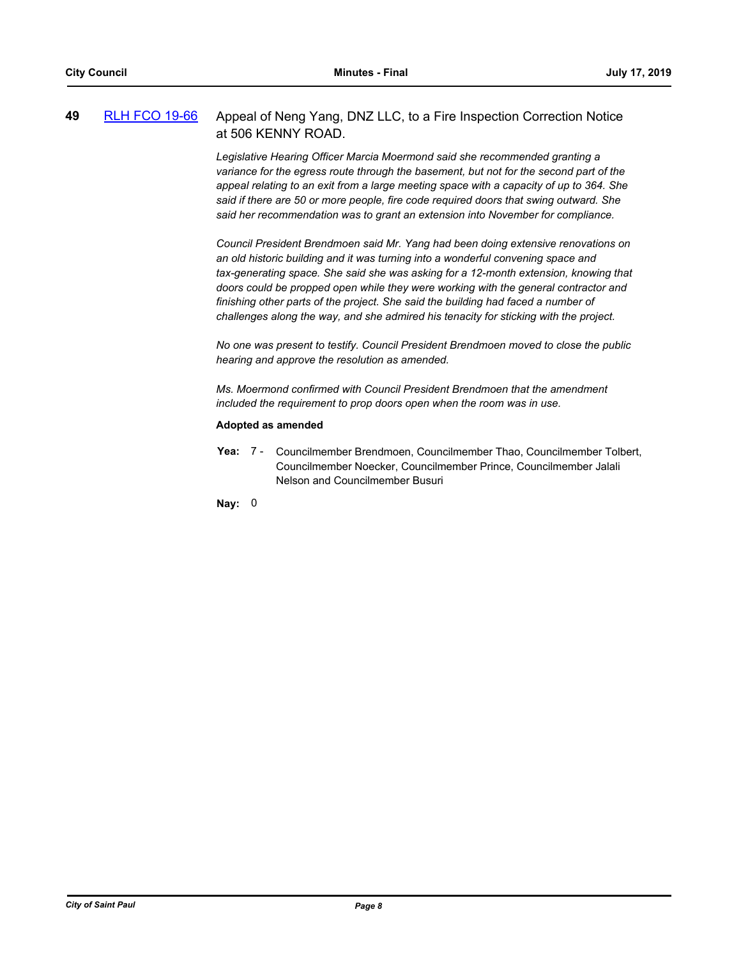# **49** [RLH FCO 19-66](http://stpaul.legistar.com/gateway.aspx?m=l&id=/matter.aspx?key=31784) Appeal of Neng Yang, DNZ LLC, to a Fire Inspection Correction Notice at 506 KENNY ROAD.

*Legislative Hearing Officer Marcia Moermond said she recommended granting a variance for the egress route through the basement, but not for the second part of the appeal relating to an exit from a large meeting space with a capacity of up to 364. She said if there are 50 or more people, fire code required doors that swing outward. She said her recommendation was to grant an extension into November for compliance.*

*Council President Brendmoen said Mr. Yang had been doing extensive renovations on an old historic building and it was turning into a wonderful convening space and tax-generating space. She said she was asking for a 12-month extension, knowing that doors could be propped open while they were working with the general contractor and finishing other parts of the project. She said the building had faced a number of challenges along the way, and she admired his tenacity for sticking with the project.*

*No one was present to testify. Council President Brendmoen moved to close the public hearing and approve the resolution as amended.*

*Ms. Moermond confirmed with Council President Brendmoen that the amendment included the requirement to prop doors open when the room was in use.*

#### **Adopted as amended**

Yea: 7 - Councilmember Brendmoen, Councilmember Thao, Councilmember Tolbert, Councilmember Noecker, Councilmember Prince, Councilmember Jalali Nelson and Councilmember Busuri

**Nay:** 0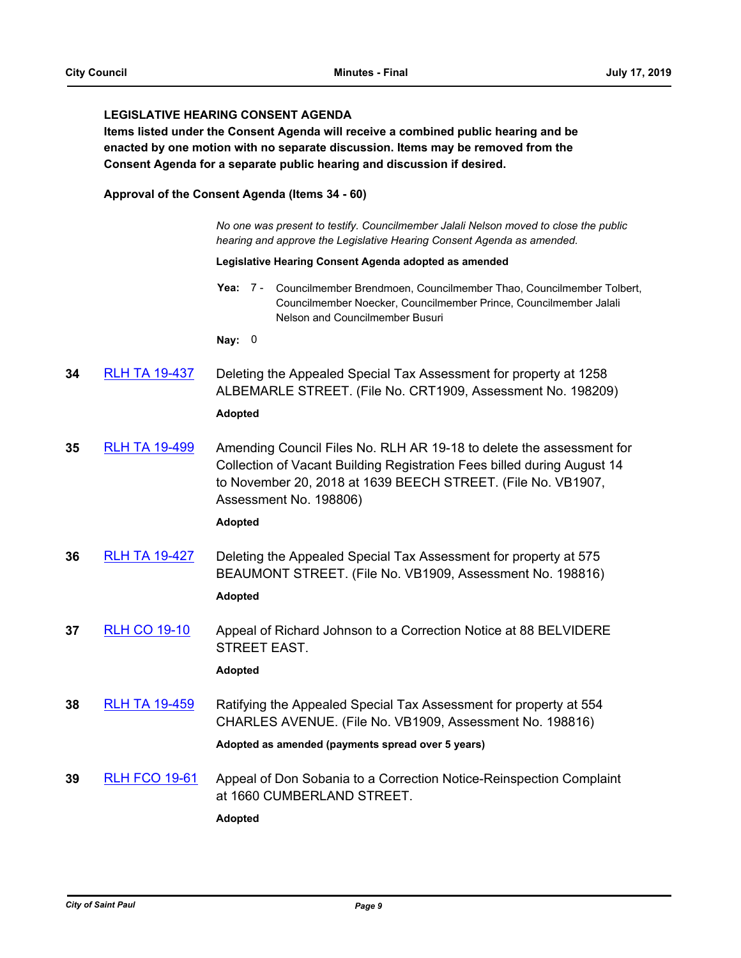# **LEGISLATIVE HEARING CONSENT AGENDA**

**Items listed under the Consent Agenda will receive a combined public hearing and be enacted by one motion with no separate discussion. Items may be removed from the Consent Agenda for a separate public hearing and discussion if desired.**

#### **Approval of the Consent Agenda (Items 34 - 60)**

*No one was present to testify. Councilmember Jalali Nelson moved to close the public hearing and approve the Legislative Hearing Consent Agenda as amended.*

#### **Legislative Hearing Consent Agenda adopted as amended**

Yea: 7 - Councilmember Brendmoen, Councilmember Thao, Councilmember Tolbert, Councilmember Noecker, Councilmember Prince, Councilmember Jalali Nelson and Councilmember Busuri

**Nay:** 0

**34** [RLH TA 19-437](http://stpaul.legistar.com/gateway.aspx?m=l&id=/matter.aspx?key=31732) Deleting the Appealed Special Tax Assessment for property at 1258 ALBEMARLE STREET. (File No. CRT1909, Assessment No. 198209)

# **Adopted**

**35** [RLH TA 19-499](http://stpaul.legistar.com/gateway.aspx?m=l&id=/matter.aspx?key=31997) Amending Council Files No. RLH AR 19-18 to delete the assessment for Collection of Vacant Building Registration Fees billed during August 14 to November 20, 2018 at 1639 BEECH STREET. (File No. VB1907, Assessment No. 198806)

#### **Adopted**

**36** [RLH TA 19-427](http://stpaul.legistar.com/gateway.aspx?m=l&id=/matter.aspx?key=31709) Deleting the Appealed Special Tax Assessment for property at 575 BEAUMONT STREET. (File No. VB1909, Assessment No. 198816)

# **Adopted**

**37** [RLH CO 19-10](http://stpaul.legistar.com/gateway.aspx?m=l&id=/matter.aspx?key=31891) Appeal of Richard Johnson to a Correction Notice at 88 BELVIDERE STREET EAST.

#### **Adopted**

**38** [RLH TA 19-459](http://stpaul.legistar.com/gateway.aspx?m=l&id=/matter.aspx?key=31798) Ratifying the Appealed Special Tax Assessment for property at 554 CHARLES AVENUE. (File No. VB1909, Assessment No. 198816)

#### **Adopted as amended (payments spread over 5 years)**

**39** [RLH FCO 19-61](http://stpaul.legistar.com/gateway.aspx?m=l&id=/matter.aspx?key=31656) Appeal of Don Sobania to a Correction Notice-Reinspection Complaint at 1660 CUMBERLAND STREET.

**Adopted**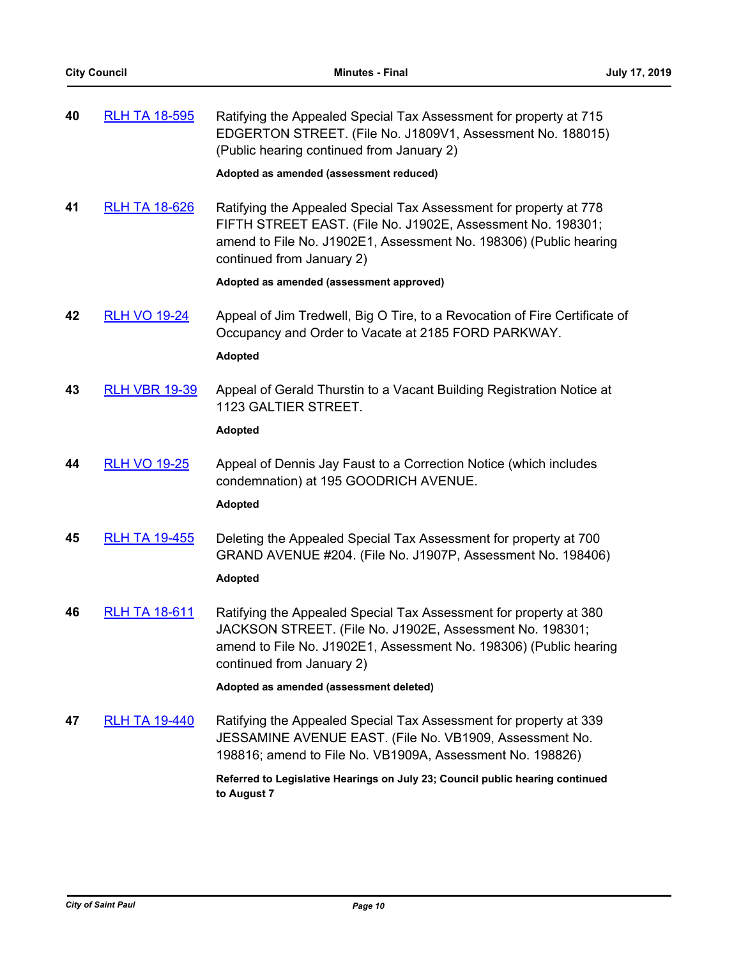| 40 | <b>RLH TA 18-595</b> | Ratifying the Appealed Special Tax Assessment for property at 715<br>EDGERTON STREET. (File No. J1809V1, Assessment No. 188015)<br>(Public hearing continued from January 2)<br>Adopted as amended (assessment reduced)            |
|----|----------------------|------------------------------------------------------------------------------------------------------------------------------------------------------------------------------------------------------------------------------------|
| 41 | <b>RLH TA 18-626</b> | Ratifying the Appealed Special Tax Assessment for property at 778<br>FIFTH STREET EAST. (File No. J1902E, Assessment No. 198301;<br>amend to File No. J1902E1, Assessment No. 198306) (Public hearing<br>continued from January 2) |
|    |                      | Adopted as amended (assessment approved)                                                                                                                                                                                           |
| 42 | <b>RLH VO 19-24</b>  | Appeal of Jim Tredwell, Big O Tire, to a Revocation of Fire Certificate of<br>Occupancy and Order to Vacate at 2185 FORD PARKWAY.<br><b>Adopted</b>                                                                                |
| 43 | <b>RLH VBR 19-39</b> | Appeal of Gerald Thurstin to a Vacant Building Registration Notice at<br>1123 GALTIER STREET.<br><b>Adopted</b>                                                                                                                    |
|    |                      |                                                                                                                                                                                                                                    |
| 44 | <b>RLH VO 19-25</b>  | Appeal of Dennis Jay Faust to a Correction Notice (which includes<br>condemnation) at 195 GOODRICH AVENUE.<br><b>Adopted</b>                                                                                                       |
| 45 | <b>RLH TA 19-455</b> | Deleting the Appealed Special Tax Assessment for property at 700<br>GRAND AVENUE #204. (File No. J1907P, Assessment No. 198406)<br><b>Adopted</b>                                                                                  |
| 46 | <b>RLH TA 18-611</b> | Ratifying the Appealed Special Tax Assessment for property at 380<br>JACKSON STREET. (File No. J1902E, Assessment No. 198301;<br>amend to File No. J1902E1, Assessment No. 198306) (Public hearing<br>continued from January 2)    |
|    |                      | Adopted as amended (assessment deleted)                                                                                                                                                                                            |
| 47 | <b>RLH TA 19-440</b> | Ratifying the Appealed Special Tax Assessment for property at 339<br>JESSAMINE AVENUE EAST. (File No. VB1909, Assessment No.<br>198816; amend to File No. VB1909A, Assessment No. 198826)                                          |
|    |                      | Referred to Legislative Hearings on July 23; Council public hearing continued<br>to August 7                                                                                                                                       |
|    |                      |                                                                                                                                                                                                                                    |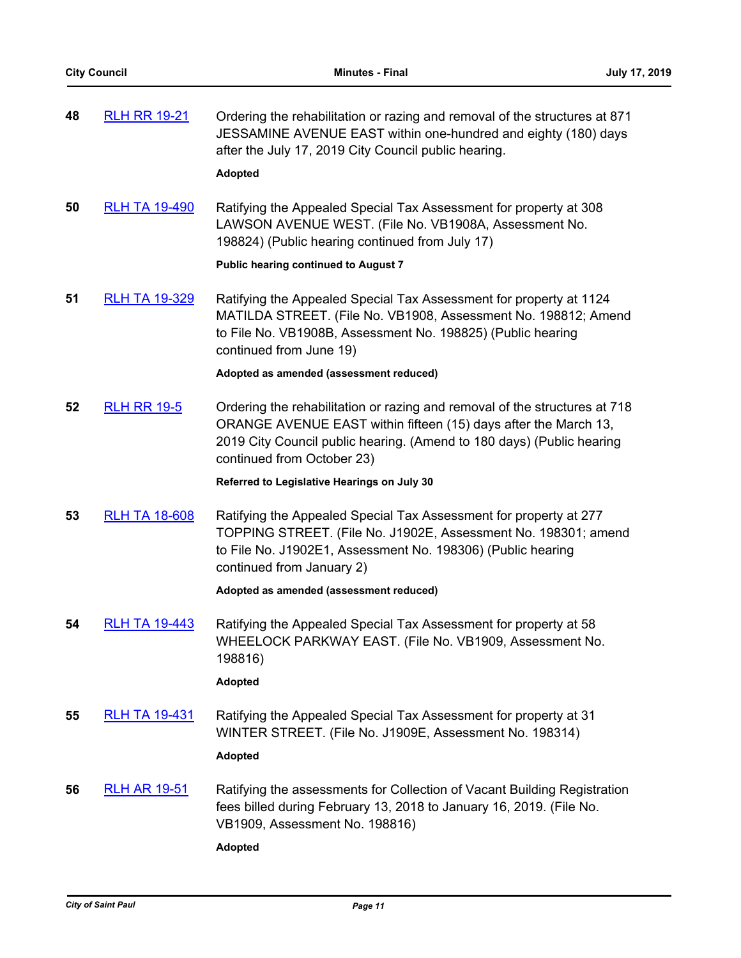| 48 | <b>RLH RR 19-21</b>  | Ordering the rehabilitation or razing and removal of the structures at 871<br>JESSAMINE AVENUE EAST within one-hundred and eighty (180) days<br>after the July 17, 2019 City Council public hearing.<br><b>Adopted</b>                               |
|----|----------------------|------------------------------------------------------------------------------------------------------------------------------------------------------------------------------------------------------------------------------------------------------|
| 50 | <b>RLH TA 19-490</b> | Ratifying the Appealed Special Tax Assessment for property at 308<br>LAWSON AVENUE WEST. (File No. VB1908A, Assessment No.<br>198824) (Public hearing continued from July 17)<br><b>Public hearing continued to August 7</b>                         |
| 51 | <b>RLH TA 19-329</b> | Ratifying the Appealed Special Tax Assessment for property at 1124<br>MATILDA STREET. (File No. VB1908, Assessment No. 198812; Amend<br>to File No. VB1908B, Assessment No. 198825) (Public hearing<br>continued from June 19)                       |
|    |                      | Adopted as amended (assessment reduced)                                                                                                                                                                                                              |
| 52 | <b>RLH RR 19-5</b>   | Ordering the rehabilitation or razing and removal of the structures at 718<br>ORANGE AVENUE EAST within fifteen (15) days after the March 13,<br>2019 City Council public hearing. (Amend to 180 days) (Public hearing<br>continued from October 23) |
|    |                      | Referred to Legislative Hearings on July 30                                                                                                                                                                                                          |
| 53 | <b>RLH TA 18-608</b> | Ratifying the Appealed Special Tax Assessment for property at 277<br>TOPPING STREET. (File No. J1902E, Assessment No. 198301; amend<br>to File No. J1902E1, Assessment No. 198306) (Public hearing<br>continued from January 2)                      |
|    |                      | Adopted as amended (assessment reduced)                                                                                                                                                                                                              |
| 54 | <b>RLH TA 19-443</b> | Ratifying the Appealed Special Tax Assessment for property at 58<br>WHEELOCK PARKWAY EAST. (File No. VB1909, Assessment No.<br>198816)<br><b>Adopted</b>                                                                                             |
| 55 | <b>RLH TA 19-431</b> | Ratifying the Appealed Special Tax Assessment for property at 31<br>WINTER STREET. (File No. J1909E, Assessment No. 198314)<br><b>Adopted</b>                                                                                                        |
| 56 | <u>RLH AR 19-51</u>  | Ratifying the assessments for Collection of Vacant Building Registration<br>fees billed during February 13, 2018 to January 16, 2019. (File No.<br>VB1909, Assessment No. 198816)<br><b>Adopted</b>                                                  |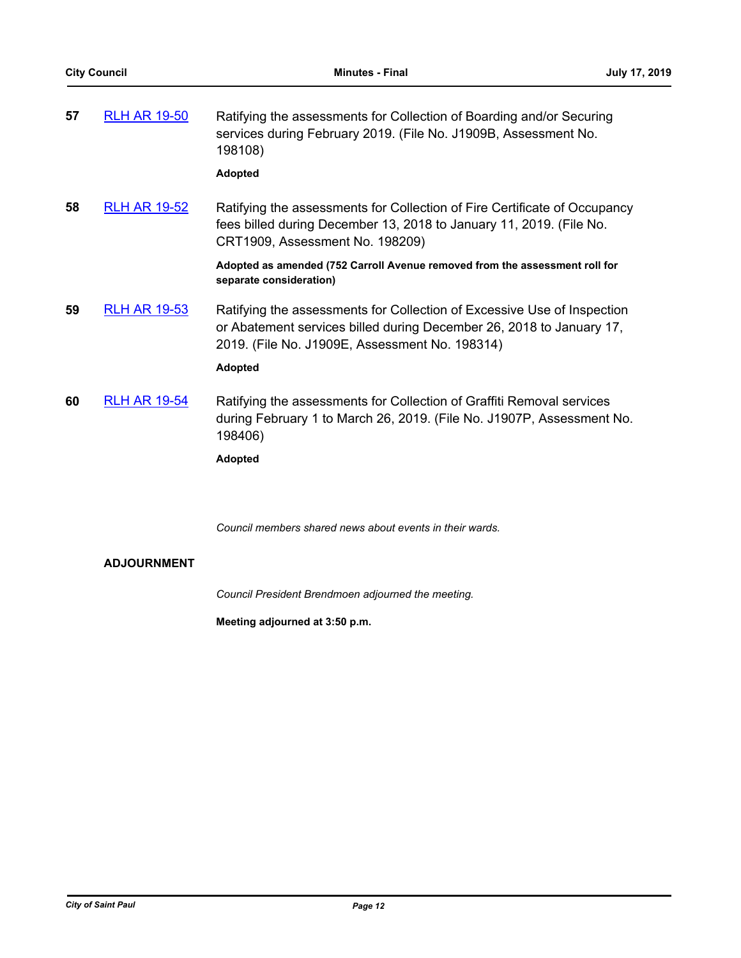| 57 | <b>RLH AR 19-50</b> | Ratifying the assessments for Collection of Boarding and/or Securing<br>services during February 2019. (File No. J1909B, Assessment No.<br>198108)<br><b>Adopted</b>                                                |
|----|---------------------|---------------------------------------------------------------------------------------------------------------------------------------------------------------------------------------------------------------------|
| 58 | <b>RLH AR 19-52</b> | Ratifying the assessments for Collection of Fire Certificate of Occupancy<br>fees billed during December 13, 2018 to January 11, 2019. (File No.<br>CRT1909, Assessment No. 198209)                                 |
|    |                     | Adopted as amended (752 Carroll Avenue removed from the assessment roll for<br>separate consideration)                                                                                                              |
| 59 | <b>RLH AR 19-53</b> | Ratifying the assessments for Collection of Excessive Use of Inspection<br>or Abatement services billed during December 26, 2018 to January 17,<br>2019. (File No. J1909E, Assessment No. 198314)<br><b>Adopted</b> |
|    |                     |                                                                                                                                                                                                                     |
| 60 | <b>RLH AR 19-54</b> | Ratifying the assessments for Collection of Graffiti Removal services<br>during February 1 to March 26, 2019. (File No. J1907P, Assessment No.<br>198406)                                                           |
|    |                     | <b>Adopted</b>                                                                                                                                                                                                      |

*Council members shared news about events in their wards.*

# **ADJOURNMENT**

*Council President Brendmoen adjourned the meeting.*

**Meeting adjourned at 3:50 p.m.**